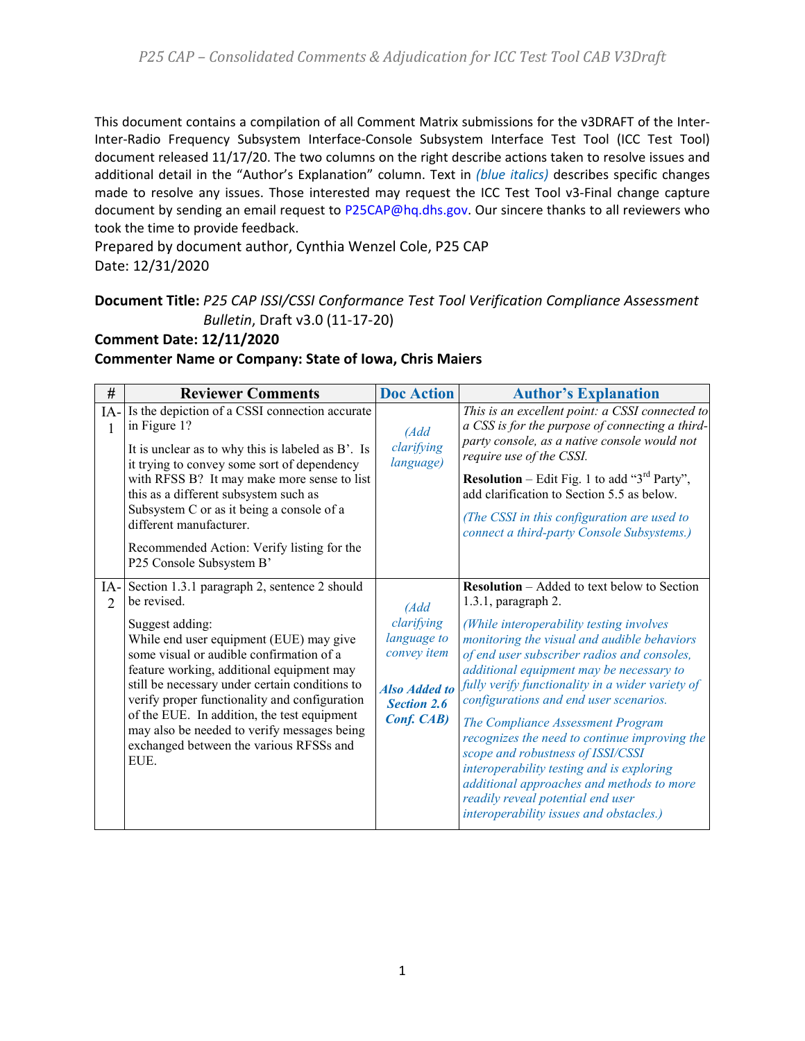This document contains a compilation of all Comment Matrix submissions for the v3DRAFT of the Inter-Inter-Radio Frequency Subsystem Interface-Console Subsystem Interface Test Tool (ICC Test Tool) document released 11/17/20. The two columns on the right describe actions taken to resolve issues and additional detail in the "Author's Explanation" column. Text in *(blue italics)* describes specific changes made to resolve any issues. Those interested may request the ICC Test Tool v3-Final change capture document by sending an email request to [P25CAP@hq.dhs.gov.](mailto:P25CAP@hq.dhs.gov) Our sincere thanks to all reviewers who took the time to provide feedback.

Prepared by document author, Cynthia Wenzel Cole, P25 CAP Date: 12/31/2020

#### **Document Title:** *P25 CAP ISSI/CSSI Conformance Test Tool Verification Compliance Assessment Bulletin*, Draft v3.0 (11-17-20)

### **Comment Date: 12/11/2020**

#### **Commenter Name or Company: State of Iowa, Chris Maiers**

| #                       | <b>Reviewer Comments</b>                                                                                                                                                                                                                                                                                                                                                                                                                                               | <b>Doc Action</b>                                                                                                    | <b>Author's Explanation</b>                                                                                                                                                                                                                                                                                                                                                                                                                                                                                                                                                                                                                                           |
|-------------------------|------------------------------------------------------------------------------------------------------------------------------------------------------------------------------------------------------------------------------------------------------------------------------------------------------------------------------------------------------------------------------------------------------------------------------------------------------------------------|----------------------------------------------------------------------------------------------------------------------|-----------------------------------------------------------------------------------------------------------------------------------------------------------------------------------------------------------------------------------------------------------------------------------------------------------------------------------------------------------------------------------------------------------------------------------------------------------------------------------------------------------------------------------------------------------------------------------------------------------------------------------------------------------------------|
| IA-<br>1                | Is the depiction of a CSSI connection accurate<br>in Figure 1?<br>It is unclear as to why this is labeled as B'. Is<br>it trying to convey some sort of dependency<br>with RFSS B? It may make more sense to list<br>this as a different subsystem such as<br>Subsystem C or as it being a console of a<br>different manufacturer.<br>Recommended Action: Verify listing for the<br>P25 Console Subsystem B'                                                           | (Add<br>clarifying<br>language)                                                                                      | This is an excellent point: a CSSI connected to<br>a CSS is for the purpose of connecting a third-<br>party console, as a native console would not<br>require use of the CSSI.<br><b>Resolution</b> – Edit Fig. 1 to add " $3^{rd}$ Party",<br>add clarification to Section 5.5 as below.<br>(The CSSI in this configuration are used to<br>connect a third-party Console Subsystems.)                                                                                                                                                                                                                                                                                |
| $IA-$<br>$\overline{2}$ | Section 1.3.1 paragraph 2, sentence 2 should<br>be revised.<br>Suggest adding:<br>While end user equipment (EUE) may give<br>some visual or audible confirmation of a<br>feature working, additional equipment may<br>still be necessary under certain conditions to<br>verify proper functionality and configuration<br>of the EUE. In addition, the test equipment<br>may also be needed to verify messages being<br>exchanged between the various RFSSs and<br>EUE. | (Add<br>clarifying<br>language to<br>convey item<br><b>Also Added to</b><br><b>Section 2.6</b><br><b>Conf. CAB</b> ) | <b>Resolution</b> – Added to text below to Section<br>$1.3.1$ , paragraph 2.<br>(While interoperability testing involves<br>monitoring the visual and audible behaviors<br>of end user subscriber radios and consoles,<br>additional equipment may be necessary to<br>fully verify functionality in a wider variety of<br>configurations and end user scenarios.<br>The Compliance Assessment Program<br>recognizes the need to continue improving the<br>scope and robustness of ISSI/CSSI<br>interoperability testing and is exploring<br>additional approaches and methods to more<br>readily reveal potential end user<br>interoperability issues and obstacles.) |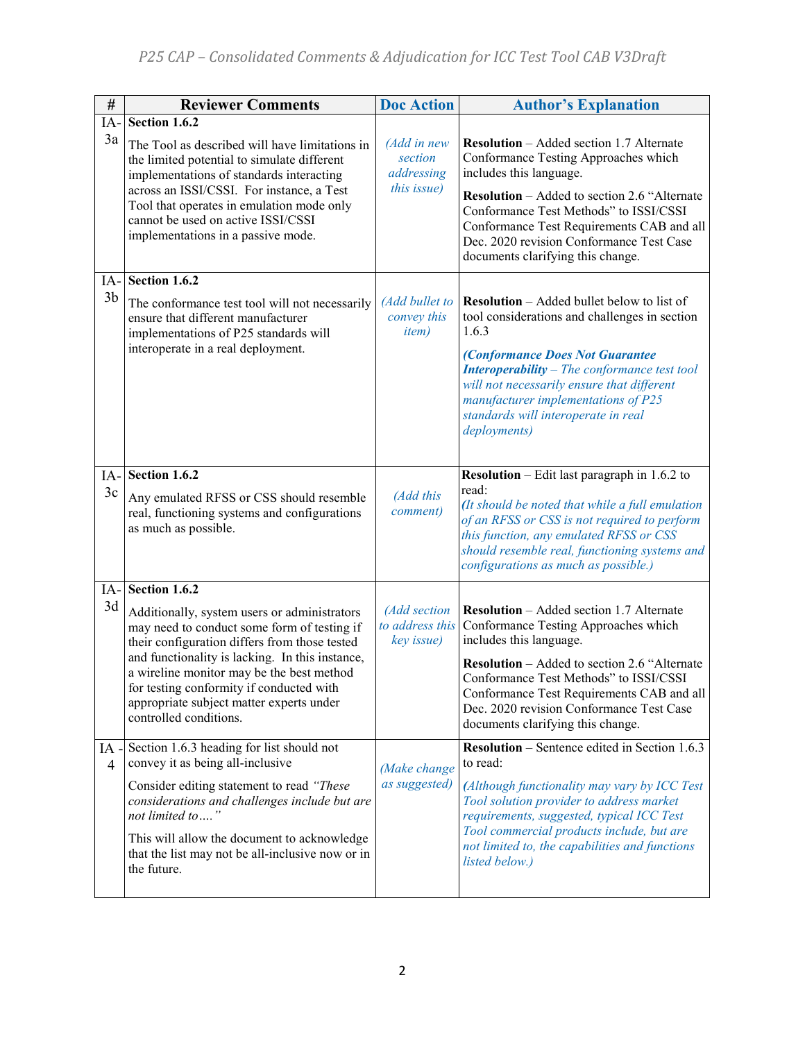| $\#$                  | <b>Reviewer Comments</b>                                                                                                                                                                                                                                                                                                                                       | <b>Doc Action</b>                                   | <b>Author's Explanation</b>                                                                                                                                                                                                                                                                                                                       |
|-----------------------|----------------------------------------------------------------------------------------------------------------------------------------------------------------------------------------------------------------------------------------------------------------------------------------------------------------------------------------------------------------|-----------------------------------------------------|---------------------------------------------------------------------------------------------------------------------------------------------------------------------------------------------------------------------------------------------------------------------------------------------------------------------------------------------------|
| IA-<br>3a             | Section $1.6.2$<br>The Tool as described will have limitations in<br>the limited potential to simulate different<br>implementations of standards interacting<br>across an ISSI/CSSI. For instance, a Test<br>Tool that operates in emulation mode only<br>cannot be used on active ISSI/CSSI<br>implementations in a passive mode.                             | (Add in new<br>section<br>addressing<br>this issue) | <b>Resolution</b> - Added section 1.7 Alternate<br>Conformance Testing Approaches which<br>includes this language.<br><b>Resolution</b> – Added to section 2.6 "Alternate<br>Conformance Test Methods" to ISSI/CSSI<br>Conformance Test Requirements CAB and all<br>Dec. 2020 revision Conformance Test Case<br>documents clarifying this change. |
| IA-<br>3 <sub>b</sub> | Section 1.6.2                                                                                                                                                                                                                                                                                                                                                  | (Add bullet to                                      | <b>Resolution</b> - Added bullet below to list of                                                                                                                                                                                                                                                                                                 |
|                       | The conformance test tool will not necessarily<br>ensure that different manufacturer<br>implementations of P25 standards will<br>interoperate in a real deployment.                                                                                                                                                                                            | convey this<br><i>item</i> )                        | tool considerations and challenges in section<br>1.6.3<br>(Conformance Does Not Guarantee<br><b>Interoperability</b> - The conformance test tool<br>will not necessarily ensure that different<br>manufacturer implementations of P25<br>standards will interoperate in real<br>deployments)                                                      |
| IA-                   | Section 1.6.2                                                                                                                                                                                                                                                                                                                                                  |                                                     | <b>Resolution</b> – Edit last paragraph in 1.6.2 to                                                                                                                                                                                                                                                                                               |
| 3c                    | Any emulated RFSS or CSS should resemble<br>real, functioning systems and configurations<br>as much as possible.                                                                                                                                                                                                                                               | (Add this<br>comment)                               | read:<br>(It should be noted that while a full emulation<br>of an RFSS or CSS is not required to perform<br>this function, any emulated RFSS or CSS<br>should resemble real, functioning systems and<br>configurations as much as possible.)                                                                                                      |
| IA-                   | Section 1.6.2                                                                                                                                                                                                                                                                                                                                                  |                                                     |                                                                                                                                                                                                                                                                                                                                                   |
| 3d                    | Additionally, system users or administrators<br>may need to conduct some form of testing if<br>their configuration differs from those tested<br>and functionality is lacking. In this instance,<br>a wireline monitor may be the best method<br>for testing conformity if conducted with<br>appropriate subject matter experts under<br>controlled conditions. | (Add section<br>to address this<br>key issue)       | <b>Resolution</b> – Added section 1.7 Alternate<br>Conformance Testing Approaches which<br>includes this language.<br><b>Resolution</b> – Added to section 2.6 "Alternate<br>Conformance Test Methods" to ISSI/CSSI<br>Conformance Test Requirements CAB and all<br>Dec. 2020 revision Conformance Test Case<br>documents clarifying this change. |
| IA<br>4               | Section 1.6.3 heading for list should not<br>convey it as being all-inclusive                                                                                                                                                                                                                                                                                  |                                                     | <b>Resolution</b> – Sentence edited in Section 1.6.3<br>to read:                                                                                                                                                                                                                                                                                  |
|                       | Consider editing statement to read "These<br>considerations and challenges include but are<br>not limited to"<br>This will allow the document to acknowledge<br>that the list may not be all-inclusive now or in<br>the future.                                                                                                                                | (Make change<br>as suggested)                       | (Although functionality may vary by ICC Test<br>Tool solution provider to address market<br>requirements, suggested, typical ICC Test<br>Tool commercial products include, but are<br>not limited to, the capabilities and functions<br>listed below.)                                                                                            |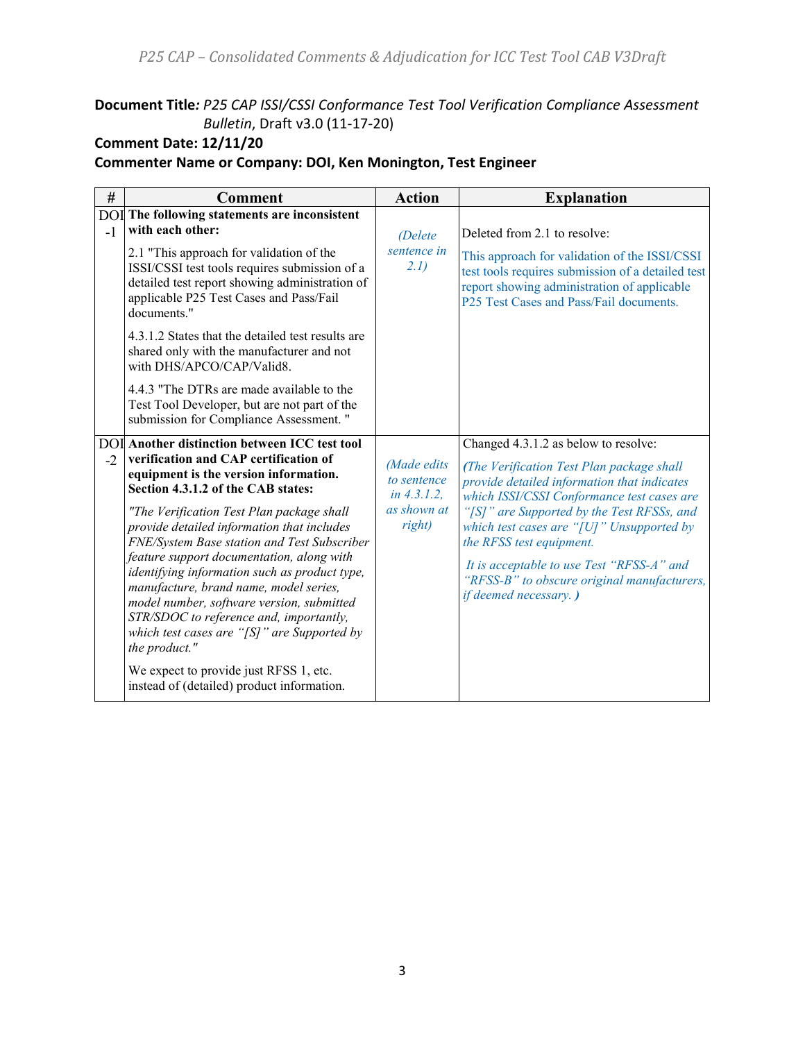# **Document Title***: P25 CAP ISSI/CSSI Conformance Test Tool Verification Compliance Assessment Bulletin*, Draft v3.0 (11-17-20)

# **Comment Date: 12/11/20**

# **Commenter Name or Company: DOI, Ken Monington, Test Engineer**

| $\#$ | <b>Comment</b>                                                                                                                                                                                                                                                                                                                                                                                                                                                                                                                                                                                                             | <b>Action</b>                                                         | <b>Explanation</b>                                                                                                                                                                                                                                                                                                                                                                                                         |
|------|----------------------------------------------------------------------------------------------------------------------------------------------------------------------------------------------------------------------------------------------------------------------------------------------------------------------------------------------------------------------------------------------------------------------------------------------------------------------------------------------------------------------------------------------------------------------------------------------------------------------------|-----------------------------------------------------------------------|----------------------------------------------------------------------------------------------------------------------------------------------------------------------------------------------------------------------------------------------------------------------------------------------------------------------------------------------------------------------------------------------------------------------------|
| $-1$ | <b>DOI</b> The following statements are inconsistent<br>with each other:<br>2.1 "This approach for validation of the<br>ISSI/CSSI test tools requires submission of a<br>detailed test report showing administration of<br>applicable P25 Test Cases and Pass/Fail<br>documents."<br>4.3.1.2 States that the detailed test results are<br>shared only with the manufacturer and not<br>with DHS/APCO/CAP/Valid8.                                                                                                                                                                                                           | (Delete<br>sentence in<br>2.1)                                        | Deleted from 2.1 to resolve:<br>This approach for validation of the ISSI/CSSI<br>test tools requires submission of a detailed test<br>report showing administration of applicable<br>P25 Test Cases and Pass/Fail documents.                                                                                                                                                                                               |
|      | 4.4.3 "The DTRs are made available to the<br>Test Tool Developer, but are not part of the<br>submission for Compliance Assessment."                                                                                                                                                                                                                                                                                                                                                                                                                                                                                        |                                                                       |                                                                                                                                                                                                                                                                                                                                                                                                                            |
| $-2$ | <b>DOI</b> Another distinction between ICC test tool<br>verification and CAP certification of<br>equipment is the version information.<br>Section 4.3.1.2 of the CAB states:<br>"The Verification Test Plan package shall<br>provide detailed information that includes<br>FNE/System Base station and Test Subscriber<br>feature support documentation, along with<br>identifying information such as product type,<br>manufacture, brand name, model series,<br>model number, software version, submitted<br>STR/SDOC to reference and, importantly,<br>which test cases are "[ $S$ ]" are Supported by<br>the product." | (Made edits<br>to sentence<br>in $4.3.1.2$ ,<br>as shown at<br>right) | Changed 4.3.1.2 as below to resolve:<br>(The Verification Test Plan package shall<br>provide detailed information that indicates<br>which ISSI/CSSI Conformance test cases are<br>"[S]" are Supported by the Test RFSSs, and<br>which test cases are "[U]" Unsupported by<br>the RFSS test equipment.<br>It is acceptable to use Test "RFSS-A" and<br>"RFSS-B" to obscure original manufacturers,<br>if deemed necessary.) |
|      | We expect to provide just RFSS 1, etc.<br>instead of (detailed) product information.                                                                                                                                                                                                                                                                                                                                                                                                                                                                                                                                       |                                                                       |                                                                                                                                                                                                                                                                                                                                                                                                                            |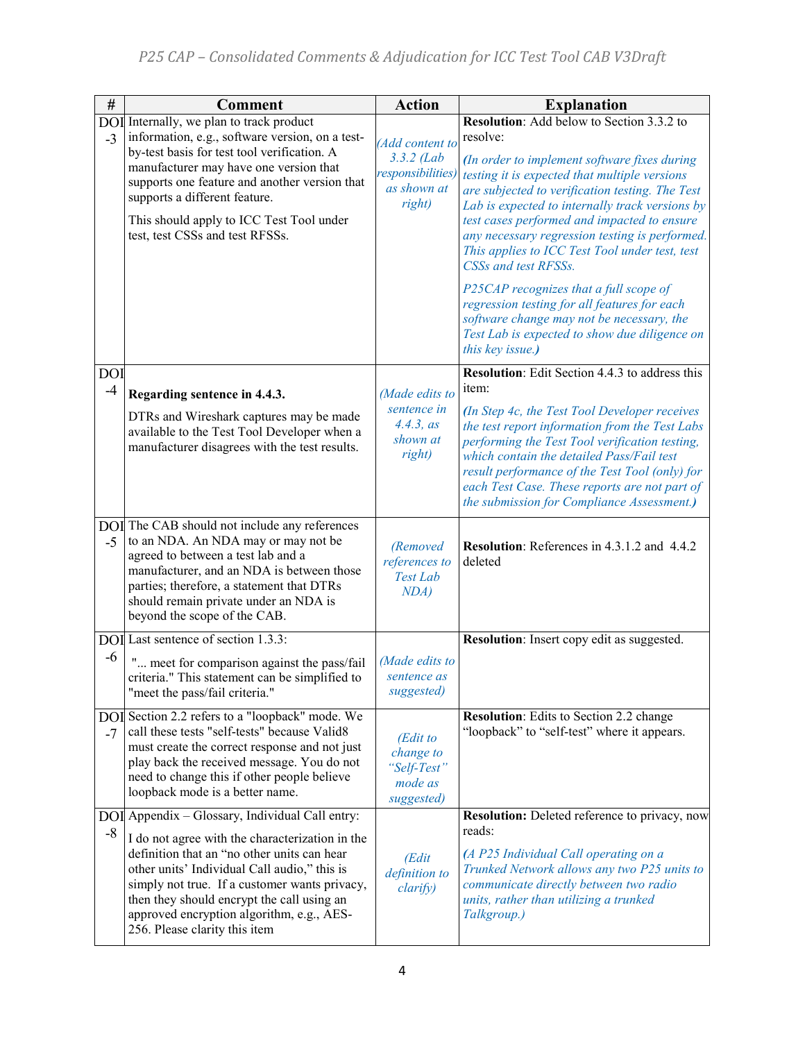| $\#$               | <b>Comment</b>                                                                                                                                                                                                                                                                                                                                                                 | <b>Action</b>                                                                 | <b>Explanation</b>                                                                                                                                                                                                                                                                                                                                                                                                                                                                                                                                                                                                                                  |
|--------------------|--------------------------------------------------------------------------------------------------------------------------------------------------------------------------------------------------------------------------------------------------------------------------------------------------------------------------------------------------------------------------------|-------------------------------------------------------------------------------|-----------------------------------------------------------------------------------------------------------------------------------------------------------------------------------------------------------------------------------------------------------------------------------------------------------------------------------------------------------------------------------------------------------------------------------------------------------------------------------------------------------------------------------------------------------------------------------------------------------------------------------------------------|
| $-3$               | DOI Internally, we plan to track product<br>information, e.g., software version, on a test-<br>by-test basis for test tool verification. A<br>manufacturer may have one version that<br>supports one feature and another version that<br>supports a different feature.<br>This should apply to ICC Test Tool under<br>test, test CSSs and test RFSSs.                          | (Add content to<br>$3.3.2$ (Lab<br>responsibilities)<br>as shown at<br>right) | Resolution: Add below to Section 3.3.2 to<br>resolve:<br>(In order to implement software fixes during<br>testing it is expected that multiple versions<br>are subjected to verification testing. The Test<br>Lab is expected to internally track versions by<br>test cases performed and impacted to ensure<br>any necessary regression testing is performed.<br>This applies to ICC Test Tool under test, test<br>CSSs and test RFSSs.<br>P25CAP recognizes that a full scope of<br>regression testing for all features for each<br>software change may not be necessary, the<br>Test Lab is expected to show due diligence on<br>this key issue.) |
| <b>DOI</b><br>$-4$ | Regarding sentence in 4.4.3.                                                                                                                                                                                                                                                                                                                                                   | (Made edits to                                                                | <b>Resolution:</b> Edit Section 4.4.3 to address this<br>item:                                                                                                                                                                                                                                                                                                                                                                                                                                                                                                                                                                                      |
|                    | DTRs and Wireshark captures may be made<br>available to the Test Tool Developer when a<br>manufacturer disagrees with the test results.                                                                                                                                                                                                                                        | sentence in<br>4.4.3, as<br>shown at<br>right)                                | (In Step 4c, the Test Tool Developer receives<br>the test report information from the Test Labs<br>performing the Test Tool verification testing,<br>which contain the detailed Pass/Fail test<br>result performance of the Test Tool (only) for<br>each Test Case. These reports are not part of<br>the submission for Compliance Assessment.)                                                                                                                                                                                                                                                                                                     |
| $-5$               | DOI The CAB should not include any references<br>to an NDA. An NDA may or may not be<br>agreed to between a test lab and a<br>manufacturer, and an NDA is between those<br>parties; therefore, a statement that DTRs<br>should remain private under an NDA is<br>beyond the scope of the CAB.                                                                                  | (Removed<br>references to<br>Test Lab<br>NDA)                                 | Resolution: References in 4.3.1.2 and 4.4.2<br>deleted                                                                                                                                                                                                                                                                                                                                                                                                                                                                                                                                                                                              |
|                    | DOI Last sentence of section 1.3.3:                                                                                                                                                                                                                                                                                                                                            |                                                                               | Resolution: Insert copy edit as suggested.                                                                                                                                                                                                                                                                                                                                                                                                                                                                                                                                                                                                          |
| $-6$               | " meet for comparison against the pass/fail<br>criteria." This statement can be simplified to<br>"meet the pass/fail criteria."                                                                                                                                                                                                                                                | (Made edits to<br>sentence as<br>suggested)                                   |                                                                                                                                                                                                                                                                                                                                                                                                                                                                                                                                                                                                                                                     |
| $-7$               | DOI Section 2.2 refers to a "loopback" mode. We<br>call these tests "self-tests" because Valid8<br>must create the correct response and not just<br>play back the received message. You do not<br>need to change this if other people believe<br>loopback mode is a better name.                                                                                               | (Edit to<br>change to<br>"Self-Test"<br>mode as<br>suggested)                 | <b>Resolution:</b> Edits to Section 2.2 change<br>"loopback" to "self-test" where it appears.                                                                                                                                                                                                                                                                                                                                                                                                                                                                                                                                                       |
| $-8$               | DOI Appendix - Glossary, Individual Call entry:<br>I do not agree with the characterization in the<br>definition that an "no other units can hear<br>other units' Individual Call audio," this is<br>simply not true. If a customer wants privacy,<br>then they should encrypt the call using an<br>approved encryption algorithm, e.g., AES-<br>256. Please clarity this item | (Edit<br>definition to<br>clarify)                                            | Resolution: Deleted reference to privacy, now<br>reads:<br>(A P25 Individual Call operating on a<br>Trunked Network allows any two P25 units to<br>communicate directly between two radio<br>units, rather than utilizing a trunked<br>Talkgroup.)                                                                                                                                                                                                                                                                                                                                                                                                  |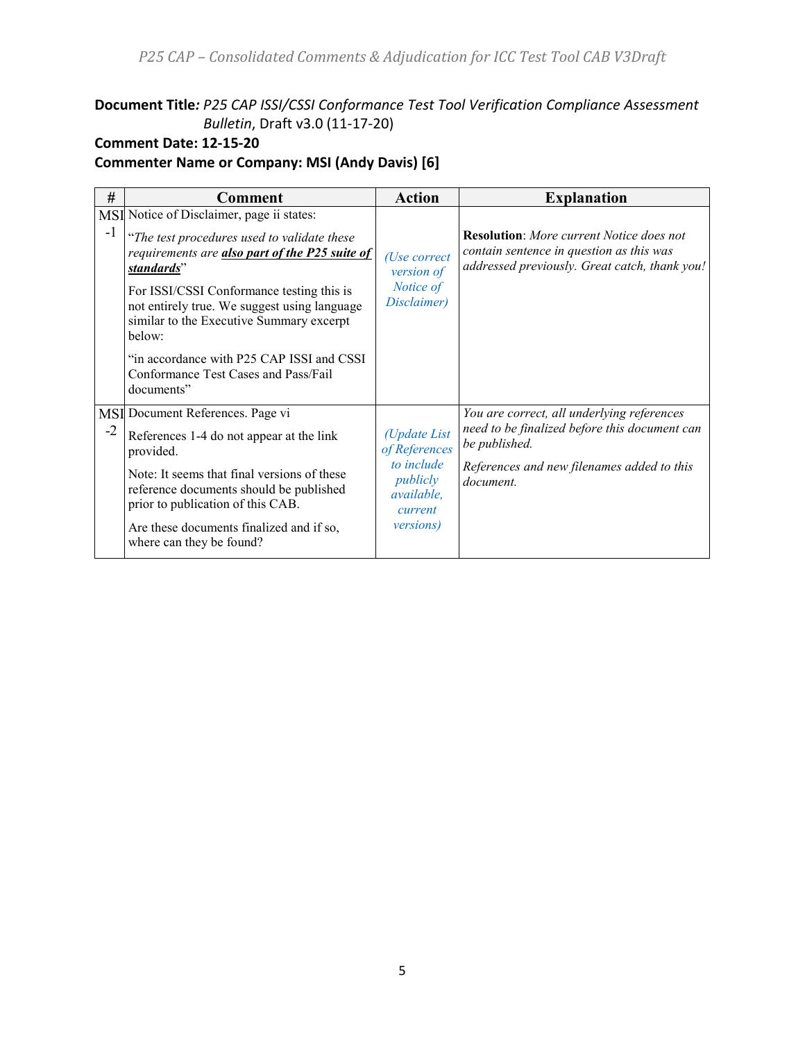**Document Title***: P25 CAP ISSI/CSSI Conformance Test Tool Verification Compliance Assessment Bulletin*, Draft v3.0 (11-17-20)

# **Comment Date: 12-15-20**

**Commenter Name or Company: MSI (Andy Davis) [6]**

| #    | <b>Comment</b>                                                                                                                                                                                                                                                                                                                                                                                                 | <b>Action</b>                                                                                         | <b>Explanation</b>                                                                                                                                                      |
|------|----------------------------------------------------------------------------------------------------------------------------------------------------------------------------------------------------------------------------------------------------------------------------------------------------------------------------------------------------------------------------------------------------------------|-------------------------------------------------------------------------------------------------------|-------------------------------------------------------------------------------------------------------------------------------------------------------------------------|
| $-1$ | MSI Notice of Disclaimer, page ii states:<br>"The test procedures used to validate these<br>requirements are also part of the P25 suite of<br>standards"<br>For ISSI/CSSI Conformance testing this is<br>not entirely true. We suggest using language<br>similar to the Executive Summary excerpt<br>below:<br>"in accordance with P25 CAP ISSI and CSSI<br>Conformance Test Cases and Pass/Fail<br>documents" | (Use correct<br>version of<br>Notice of<br>Disclaimer)                                                | <b>Resolution:</b> More current Notice does not<br>contain sentence in question as this was<br>addressed previously. Great catch, thank you!                            |
| $-2$ | MSI Document References. Page vi<br>References 1-4 do not appear at the link<br>provided.<br>Note: It seems that final versions of these<br>reference documents should be published<br>prior to publication of this CAB.<br>Are these documents finalized and if so,<br>where can they be found?                                                                                                               | (Update List<br>of References<br>to include<br>publicly<br>available,<br>current<br><i>versions</i> ) | You are correct, all underlying references<br>need to be finalized before this document can<br>be published.<br>References and new filenames added to this<br>document. |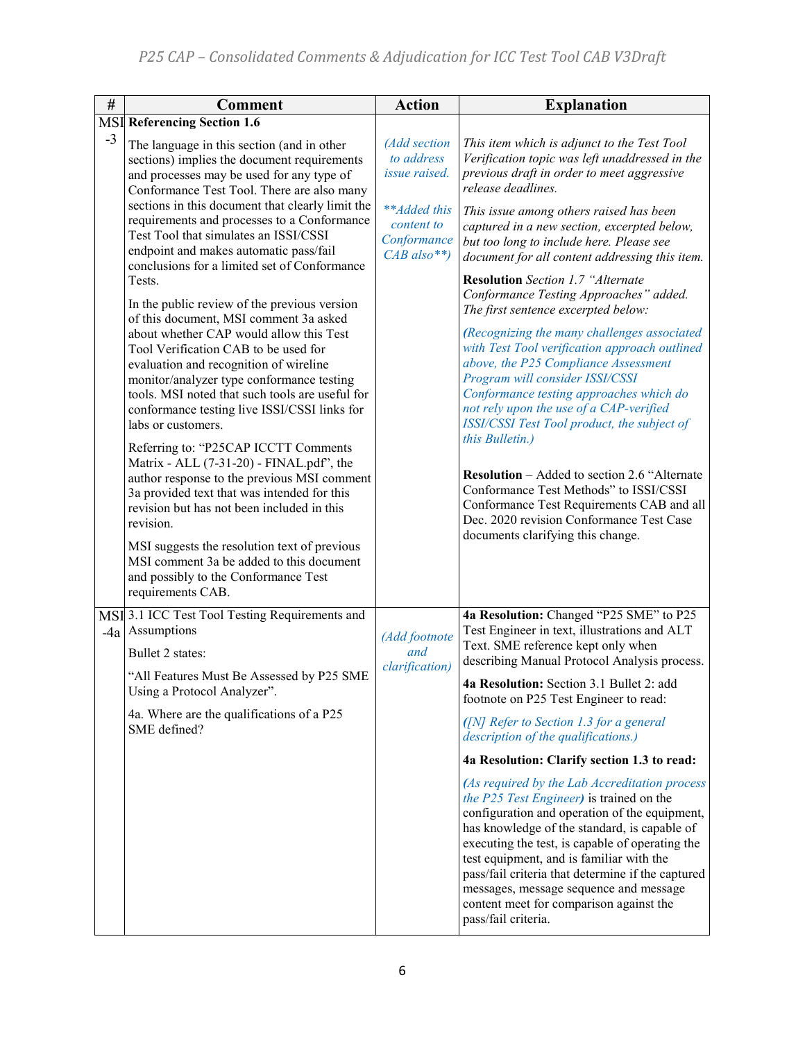| $\#$ | <b>Comment</b>                                                                                                                                                                                                                                                                                                                                                                                                                                                                                                                                                                                                                                                                                                                                                                                                                                                                                                                                                                                                                                                    | <b>Action</b>                                                                                             | <b>Explanation</b>                                                                                                                                                                                                                                                                                                                                                                                                                                                                                                                                                                                                                                                                                                                                                                                                                                                                                                                                                       |
|------|-------------------------------------------------------------------------------------------------------------------------------------------------------------------------------------------------------------------------------------------------------------------------------------------------------------------------------------------------------------------------------------------------------------------------------------------------------------------------------------------------------------------------------------------------------------------------------------------------------------------------------------------------------------------------------------------------------------------------------------------------------------------------------------------------------------------------------------------------------------------------------------------------------------------------------------------------------------------------------------------------------------------------------------------------------------------|-----------------------------------------------------------------------------------------------------------|--------------------------------------------------------------------------------------------------------------------------------------------------------------------------------------------------------------------------------------------------------------------------------------------------------------------------------------------------------------------------------------------------------------------------------------------------------------------------------------------------------------------------------------------------------------------------------------------------------------------------------------------------------------------------------------------------------------------------------------------------------------------------------------------------------------------------------------------------------------------------------------------------------------------------------------------------------------------------|
|      | <b>MSI</b> Referencing Section 1.6                                                                                                                                                                                                                                                                                                                                                                                                                                                                                                                                                                                                                                                                                                                                                                                                                                                                                                                                                                                                                                |                                                                                                           |                                                                                                                                                                                                                                                                                                                                                                                                                                                                                                                                                                                                                                                                                                                                                                                                                                                                                                                                                                          |
| $-3$ | The language in this section (and in other<br>sections) implies the document requirements<br>and processes may be used for any type of<br>Conformance Test Tool. There are also many<br>sections in this document that clearly limit the<br>requirements and processes to a Conformance<br>Test Tool that simulates an ISSI/CSSI<br>endpoint and makes automatic pass/fail<br>conclusions for a limited set of Conformance<br>Tests.<br>In the public review of the previous version<br>of this document, MSI comment 3a asked<br>about whether CAP would allow this Test<br>Tool Verification CAB to be used for<br>evaluation and recognition of wireline<br>monitor/analyzer type conformance testing<br>tools. MSI noted that such tools are useful for<br>conformance testing live ISSI/CSSI links for<br>labs or customers.<br>Referring to: "P25CAP ICCTT Comments<br>Matrix - ALL (7-31-20) - FINAL.pdf", the<br>author response to the previous MSI comment<br>3a provided text that was intended for this<br>revision but has not been included in this | (Add section<br>to address<br>issue raised.<br>**Added this<br>content to<br>Conformance<br>$CAB$ also**) | This item which is adjunct to the Test Tool<br>Verification topic was left unaddressed in the<br>previous draft in order to meet aggressive<br>release deadlines.<br>This issue among others raised has been<br>captured in a new section, excerpted below,<br>but too long to include here. Please see<br>document for all content addressing this item.<br><b>Resolution</b> Section 1.7 "Alternate<br>Conformance Testing Approaches" added.<br>The first sentence excerpted below:<br>(Recognizing the many challenges associated<br>with Test Tool verification approach outlined<br>above, the P25 Compliance Assessment<br>Program will consider ISSI/CSSI<br>Conformance testing approaches which do<br>not rely upon the use of a CAP-verified<br>ISSI/CSSI Test Tool product, the subject of<br>this Bulletin.)<br><b>Resolution</b> – Added to section 2.6 "Alternate"<br>Conformance Test Methods" to ISSI/CSSI<br>Conformance Test Requirements CAB and all |
|      | revision.<br>MSI suggests the resolution text of previous<br>MSI comment 3a be added to this document<br>and possibly to the Conformance Test<br>requirements CAB.                                                                                                                                                                                                                                                                                                                                                                                                                                                                                                                                                                                                                                                                                                                                                                                                                                                                                                |                                                                                                           | Dec. 2020 revision Conformance Test Case<br>documents clarifying this change.                                                                                                                                                                                                                                                                                                                                                                                                                                                                                                                                                                                                                                                                                                                                                                                                                                                                                            |
|      | MSI 3.1 ICC Test Tool Testing Requirements and<br>$-4a$ Assumptions<br>Bullet 2 states:                                                                                                                                                                                                                                                                                                                                                                                                                                                                                                                                                                                                                                                                                                                                                                                                                                                                                                                                                                           | (Add footnote<br>and<br>clarification)                                                                    | 4a Resolution: Changed "P25 SME" to P25<br>Test Engineer in text, illustrations and ALT<br>Text. SME reference kept only when<br>describing Manual Protocol Analysis process.                                                                                                                                                                                                                                                                                                                                                                                                                                                                                                                                                                                                                                                                                                                                                                                            |
|      | "All Features Must Be Assessed by P25 SME<br>Using a Protocol Analyzer".                                                                                                                                                                                                                                                                                                                                                                                                                                                                                                                                                                                                                                                                                                                                                                                                                                                                                                                                                                                          |                                                                                                           | 4a Resolution: Section 3.1 Bullet 2: add<br>footnote on P25 Test Engineer to read:                                                                                                                                                                                                                                                                                                                                                                                                                                                                                                                                                                                                                                                                                                                                                                                                                                                                                       |
|      | 4a. Where are the qualifications of a P25<br>SME defined?                                                                                                                                                                                                                                                                                                                                                                                                                                                                                                                                                                                                                                                                                                                                                                                                                                                                                                                                                                                                         |                                                                                                           | ([N] Refer to Section 1.3 for a general<br>description of the qualifications.)                                                                                                                                                                                                                                                                                                                                                                                                                                                                                                                                                                                                                                                                                                                                                                                                                                                                                           |
|      |                                                                                                                                                                                                                                                                                                                                                                                                                                                                                                                                                                                                                                                                                                                                                                                                                                                                                                                                                                                                                                                                   |                                                                                                           | 4a Resolution: Clarify section 1.3 to read:                                                                                                                                                                                                                                                                                                                                                                                                                                                                                                                                                                                                                                                                                                                                                                                                                                                                                                                              |
|      |                                                                                                                                                                                                                                                                                                                                                                                                                                                                                                                                                                                                                                                                                                                                                                                                                                                                                                                                                                                                                                                                   |                                                                                                           | (As required by the Lab Accreditation process<br>the P25 Test Engineer) is trained on the<br>configuration and operation of the equipment,<br>has knowledge of the standard, is capable of<br>executing the test, is capable of operating the<br>test equipment, and is familiar with the<br>pass/fail criteria that determine if the captured<br>messages, message sequence and message<br>content meet for comparison against the<br>pass/fail criteria.                                                                                                                                                                                                                                                                                                                                                                                                                                                                                                               |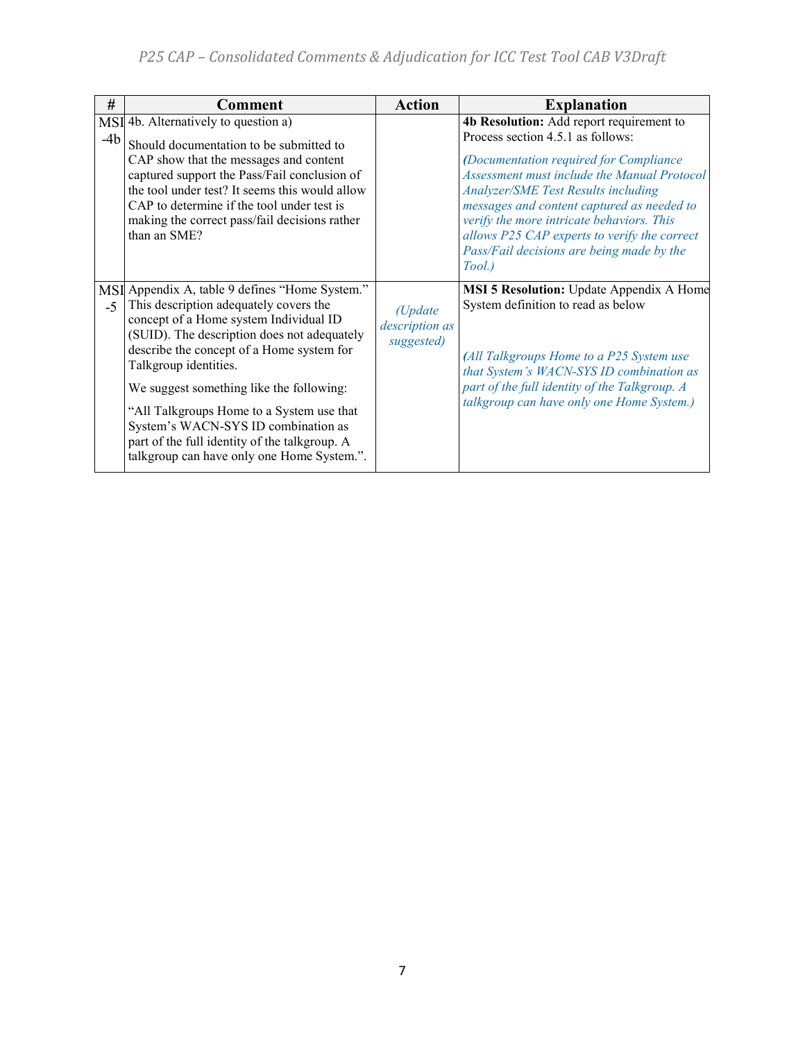| #     | <b>Comment</b>                                                                                                                                                                                                                                                                                                                                                                                                                                                                         | <b>Action</b>                                     | <b>Explanation</b>                                                                                                                                                                                                                                                                                                                                                                                                            |
|-------|----------------------------------------------------------------------------------------------------------------------------------------------------------------------------------------------------------------------------------------------------------------------------------------------------------------------------------------------------------------------------------------------------------------------------------------------------------------------------------------|---------------------------------------------------|-------------------------------------------------------------------------------------------------------------------------------------------------------------------------------------------------------------------------------------------------------------------------------------------------------------------------------------------------------------------------------------------------------------------------------|
| $-4b$ | MSI 4b. Alternatively to question a)<br>Should documentation to be submitted to<br>CAP show that the messages and content<br>captured support the Pass/Fail conclusion of<br>the tool under test? It seems this would allow<br>CAP to determine if the tool under test is<br>making the correct pass/fail decisions rather<br>than an SME?                                                                                                                                             |                                                   | 4b Resolution: Add report requirement to<br>Process section 4.5.1 as follows:<br>(Documentation required for Compliance<br><b>Assessment must include the Manual Protocol</b><br><b>Analyzer/SME Test Results including</b><br>messages and content captured as needed to<br>verify the more intricate behaviors. This<br>allows P25 CAP experts to verify the correct<br>Pass/Fail decisions are being made by the<br>Tool.) |
| $-5$  | MSI Appendix A, table 9 defines "Home System."<br>This description adequately covers the<br>concept of a Home system Individual ID<br>(SUID). The description does not adequately<br>describe the concept of a Home system for<br>Talkgroup identities.<br>We suggest something like the following:<br>"All Talkgroups Home to a System use that<br>System's WACN-SYS ID combination as<br>part of the full identity of the talkgroup. A<br>talkgroup can have only one Home System.". | $(U$ <i>pdate</i><br>description as<br>suggested) | MSI 5 Resolution: Update Appendix A Home<br>System definition to read as below<br>(All Talkgroups Home to a P25 System use<br>that System's WACN-SYS ID combination as<br>part of the full identity of the Talkgroup. A<br>talkgroup can have only one Home System.)                                                                                                                                                          |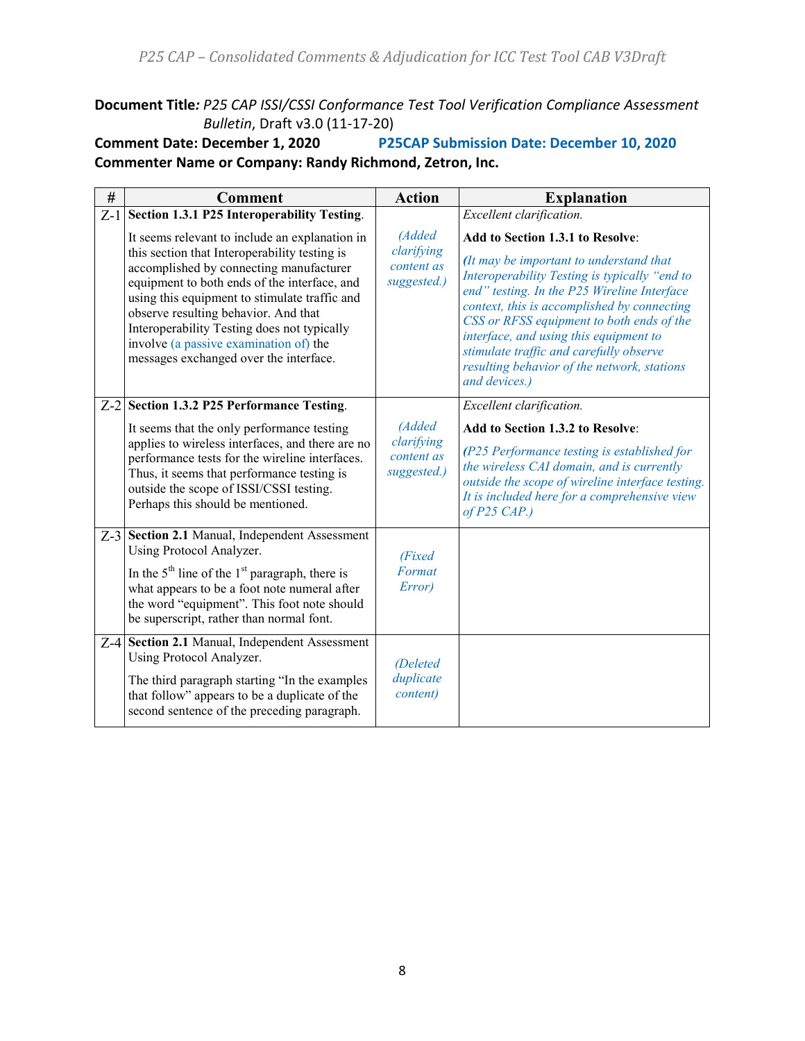*P25 CAP – Consolidated Comments & Adjudication for ICC Test Tool CAB V3Draft*

**Document Title***: P25 CAP ISSI/CSSI Conformance Test Tool Verification Compliance Assessment* 

*Bulletin*, Draft v3.0 (11-17-20)<br>**Comment Date: December 1, 2020 P25 P25CAP Submission Date: December 10, 2020 Commenter Name or Company: Randy Richmond, Zetron, Inc.**

| #     | <b>Comment</b>                                                                                                                                                                                                                                                                                                                                                                                                         | <b>Action</b>                                     | <b>Explanation</b>                                                                                                                                                                                                                                                                                                                                                                                                           |
|-------|------------------------------------------------------------------------------------------------------------------------------------------------------------------------------------------------------------------------------------------------------------------------------------------------------------------------------------------------------------------------------------------------------------------------|---------------------------------------------------|------------------------------------------------------------------------------------------------------------------------------------------------------------------------------------------------------------------------------------------------------------------------------------------------------------------------------------------------------------------------------------------------------------------------------|
| $Z-1$ | Section 1.3.1 P25 Interoperability Testing.                                                                                                                                                                                                                                                                                                                                                                            |                                                   | Excellent clarification.                                                                                                                                                                                                                                                                                                                                                                                                     |
|       | It seems relevant to include an explanation in<br>this section that Interoperability testing is<br>accomplished by connecting manufacturer<br>equipment to both ends of the interface, and<br>using this equipment to stimulate traffic and<br>observe resulting behavior. And that<br>Interoperability Testing does not typically<br>involve (a passive examination of) the<br>messages exchanged over the interface. | (Added<br>clarifying<br>content as<br>suggested.) | Add to Section 1.3.1 to Resolve:<br>(It may be important to understand that<br>Interoperability Testing is typically "end to<br>end" testing. In the P25 Wireline Interface<br>context, this is accomplished by connecting<br>CSS or RFSS equipment to both ends of the<br>interface, and using this equipment to<br>stimulate traffic and carefully observe<br>resulting behavior of the network, stations<br>and devices.) |
|       | Z-2 Section 1.3.2 P25 Performance Testing.                                                                                                                                                                                                                                                                                                                                                                             |                                                   | Excellent clarification.                                                                                                                                                                                                                                                                                                                                                                                                     |
|       | It seems that the only performance testing<br>applies to wireless interfaces, and there are no<br>performance tests for the wireline interfaces.<br>Thus, it seems that performance testing is<br>outside the scope of ISSI/CSSI testing.<br>Perhaps this should be mentioned.                                                                                                                                         | (Added<br>clarifying<br>content as<br>suggested.) | Add to Section 1.3.2 to Resolve:<br>(P25 Performance testing is established for<br>the wireless CAI domain, and is currently<br>outside the scope of wireline interface testing.<br>It is included here for a comprehensive view<br>$of P25$ CAP.)                                                                                                                                                                           |
|       | Z-3 Section 2.1 Manual, Independent Assessment<br>Using Protocol Analyzer.<br>In the $5th$ line of the 1 <sup>st</sup> paragraph, there is<br>what appears to be a foot note numeral after<br>the word "equipment". This foot note should<br>be superscript, rather than normal font.                                                                                                                                  | (Fixed<br>Format<br>Error)                        |                                                                                                                                                                                                                                                                                                                                                                                                                              |
|       | Z-4 Section 2.1 Manual, Independent Assessment<br>Using Protocol Analyzer.<br>The third paragraph starting "In the examples"<br>that follow" appears to be a duplicate of the<br>second sentence of the preceding paragraph.                                                                                                                                                                                           | <i>(Deleted)</i><br>duplicate<br>content)         |                                                                                                                                                                                                                                                                                                                                                                                                                              |